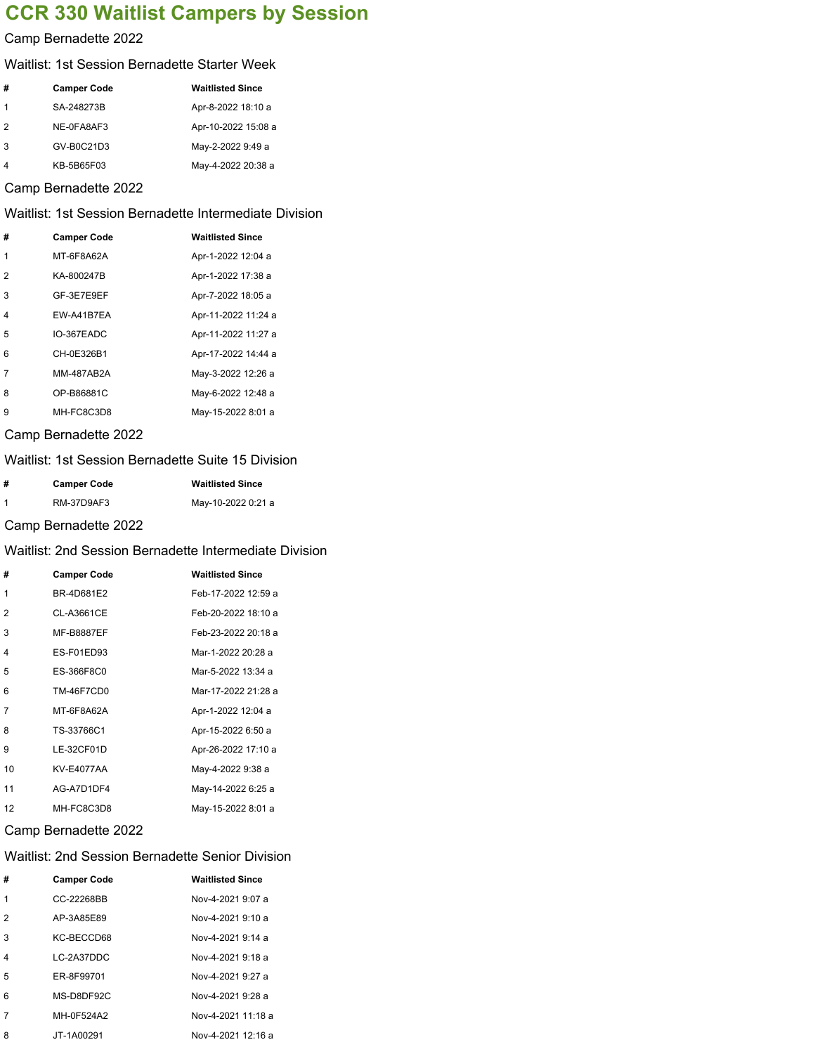# **CCR 330 Waitlist Campers by Session**

### Camp Bernadette 2022

#### Waitlist: 1st Session Bernadette Starter Week

| #             | <b>Camper Code</b> | <b>Waitlisted Since</b> |
|---------------|--------------------|-------------------------|
|               | SA-248273B         | Apr-8-2022 18:10 a      |
| $\mathcal{P}$ | NE-0FA8AF3         | Apr-10-2022 15:08 a     |
| 3             | GV-B0C21D3         | May-2-2022 9:49 a       |
|               | KB-5B65F03         | May-4-2022 20:38 a      |

### Camp Bernadette 2022

# Waitlist: 1st Session Bernadette Intermediate Division

| # | <b>Camper Code</b> | <b>Waitlisted Since</b> |
|---|--------------------|-------------------------|
| 1 | MT-6F8A62A         | Apr-1-2022 12:04 a      |
| 2 | KA-800247B         | Apr-1-2022 17:38 a      |
| 3 | GF-3E7E9EF         | Apr-7-2022 18:05 a      |
| 4 | FW-A41B7FA         | Apr-11-2022 11:24 a     |
| 5 | IO-367EADC         | Apr-11-2022 11:27 a     |
| 6 | CH-0E326B1         | Apr-17-2022 14:44 a     |
| 7 | MM-487AB2A         | May-3-2022 12:26 a      |
| 8 | OP-B86881C         | May-6-2022 12:48 a      |
| 9 | MH-FC8C3D8         | May-15-2022 8:01 a      |

# Camp Bernadette 2022

# Waitlist: 1st Session Bernadette Suite 15 Division

| #           | <b>Camper Code</b> | <b>Waitlisted Since</b> |
|-------------|--------------------|-------------------------|
| $\mathbf 1$ | RM-37D9AF3         | May-10-2022 0:21 a      |

### Camp Bernadette 2022

# Waitlist: 2nd Session Bernadette Intermediate Division

| #  | <b>Camper Code</b> | <b>Waitlisted Since</b> |
|----|--------------------|-------------------------|
| 1  | BR-4D681E2         | Feb-17-2022 12:59 a     |
| 2  | CL-A3661CE         | Feb-20-2022 18:10 a     |
| 3  | <b>MF-B8887EF</b>  | Feb-23-2022 20:18 a     |
| 4  | ES-F01ED93         | Mar-1-2022 20:28 a      |
| 5  | ES-366F8C0         | Mar-5-2022 13:34 a      |
| 6  | <b>TM-46F7CD0</b>  | Mar-17-2022 21:28 a     |
| 7  | MT-6F8A62A         | Apr-1-2022 12:04 a      |
| 8  | TS-33766C1         | Apr-15-2022 6:50 a      |
| 9  | LE-32CF01D         | Apr-26-2022 17:10 a     |
| 10 | <b>KV-E4077AA</b>  | May-4-2022 9:38 a       |
| 11 | AG-A7D1DF4         | May-14-2022 6:25 a      |
| 12 | MH-FC8C3D8         | May-15-2022 8:01 a      |

#### Camp Bernadette 2022

### Waitlist: 2nd Session Bernadette Senior Division

| # | <b>Camper Code</b> | <b>Waitlisted Since</b> |
|---|--------------------|-------------------------|
| 1 | CC-22268BB         | Nov-4-2021 9:07 a       |
| 2 | AP-3A85E89         | Nov-4-2021 9:10 a       |
| 3 | KC-BECCD68         | Nov-4-2021 9:14 a       |
| 4 | LC-2A37DDC         | Nov-4-2021 9:18 a       |
| 5 | FR-8F99701         | Nov-4-2021 9:27 a       |
| ี | MS-D8DF92C         | Nov-4-2021 9:28 a       |
|   | MH-0F524A2         | Nov-4-2021 11:18 a      |
| 8 | JT-1A00291         | Nov-4-2021 12:16 a      |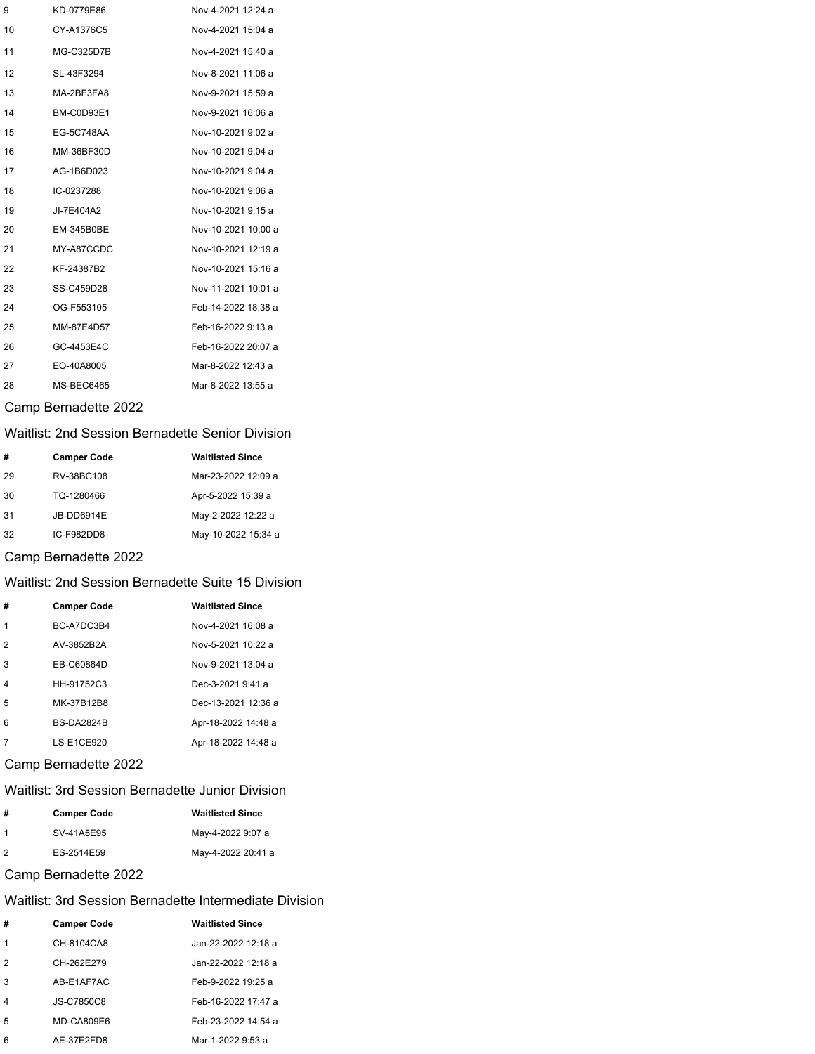| 9  | KD-0779E86        | Nov-4-2021 12:24 a  |
|----|-------------------|---------------------|
| 10 | CY-A1376C5        | Nov-4-2021 15:04 a  |
| 11 | MG-C325D7B        | Nov-4-2021 15:40 a  |
| 12 | SL-43F3294        | Nov-8-2021 11:06 a  |
| 13 | MA-2BF3FA8        | Nov-9-2021 15:59 a  |
| 14 | BM-C0D93E1        | Nov-9-2021 16:06 a  |
| 15 | EG-5C748AA        | Nov-10-2021 9:02 a  |
| 16 | MM-36BF30D        | Nov-10-2021 9:04 a  |
| 17 | AG-1B6D023        | Nov-10-2021 9:04 a  |
| 18 | IC-0237288        | Nov-10-2021 9:06 a  |
| 19 | JI-7E404A2        | Nov-10-2021 9:15 a  |
| 20 | <b>EM-345B0BE</b> | Nov-10-2021 10:00 a |
| 21 | MY-A87CCDC        | Nov-10-2021 12:19 a |
| 22 | KF-24387B2        | Nov-10-2021 15:16 a |
| 23 | SS-C459D28        | Nov-11-2021 10:01 a |
| 24 | OG-F553105        | Feb-14-2022 18:38 a |
| 25 | MM-87E4D57        | Feb-16-2022 9:13 a  |
| 26 | GC-4453E4C        | Feb-16-2022 20:07 a |
| 27 | EO-40A8005        | Mar-8-2022 12:43 a  |
| 28 | MS-BEC6465        | Mar-8-2022 13:55 a  |

# Camp Bernadette 2022

# Waitlist: 2nd Session Bernadette Senior Division

| #  | <b>Camper Code</b> | <b>Waitlisted Since</b> |
|----|--------------------|-------------------------|
| 29 | RV-38BC108         | Mar-23-2022 12:09 a     |
| 30 | TQ-1280466         | Apr-5-2022 15:39 a      |
| 31 | JB-DD6914E         | May-2-2022 12:22 a      |
| 32 | IC-F982DD8         | May-10-2022 15:34 a     |

# Camp Bernadette 2022

### Waitlist: 2nd Session Bernadette Suite 15 Division

| #              | <b>Camper Code</b> | <b>Waitlisted Since</b> |
|----------------|--------------------|-------------------------|
|                | BC-A7DC3B4         | Nov-4-2021 16:08 a      |
| $\mathcal{P}$  | AV-3852B2A         | Nov-5-2021 10:22 a      |
| 3              | EB-C60864D         | Nov-9-2021 13:04 a      |
| $\overline{4}$ | HH-91752C3         | Dec-3-2021 9:41 a       |
| 5              | MK-37B12B8         | Dec-13-2021 12:36 a     |
| 6              | <b>BS-DA2824B</b>  | Apr-18-2022 14:48 a     |
|                | LS-E1CE920         | Apr-18-2022 14:48 a     |

# Camp Bernadette 2022

### Waitlist: 3rd Session Bernadette Junior Division

| #              | <b>Camper Code</b> | <b>Waitlisted Since</b> |
|----------------|--------------------|-------------------------|
|                | SV-41A5E95         | May-4-2022 9:07 a       |
| $\overline{2}$ | ES-2514E59         | May-4-2022 20:41 a      |

# Camp Bernadette 2022

# Waitlist: 3rd Session Bernadette Intermediate Division

| #             | <b>Camper Code</b> | <b>Waitlisted Since</b> |
|---------------|--------------------|-------------------------|
|               | CH-8104CA8         | Jan-22-2022 12:18 a     |
| $\mathcal{P}$ | CH-262E279         | Jan-22-2022 12:18 a     |
| 3             | AB-E1AF7AC         | Feb-9-2022 19:25 a      |
| 4             | JS-C7850C8         | Feb-16-2022 17:47 a     |
| 5             | MD-CA809E6         | Feb-23-2022 14:54 a     |
| 6             | AE-37E2FD8         | Mar-1-2022 9:53 a       |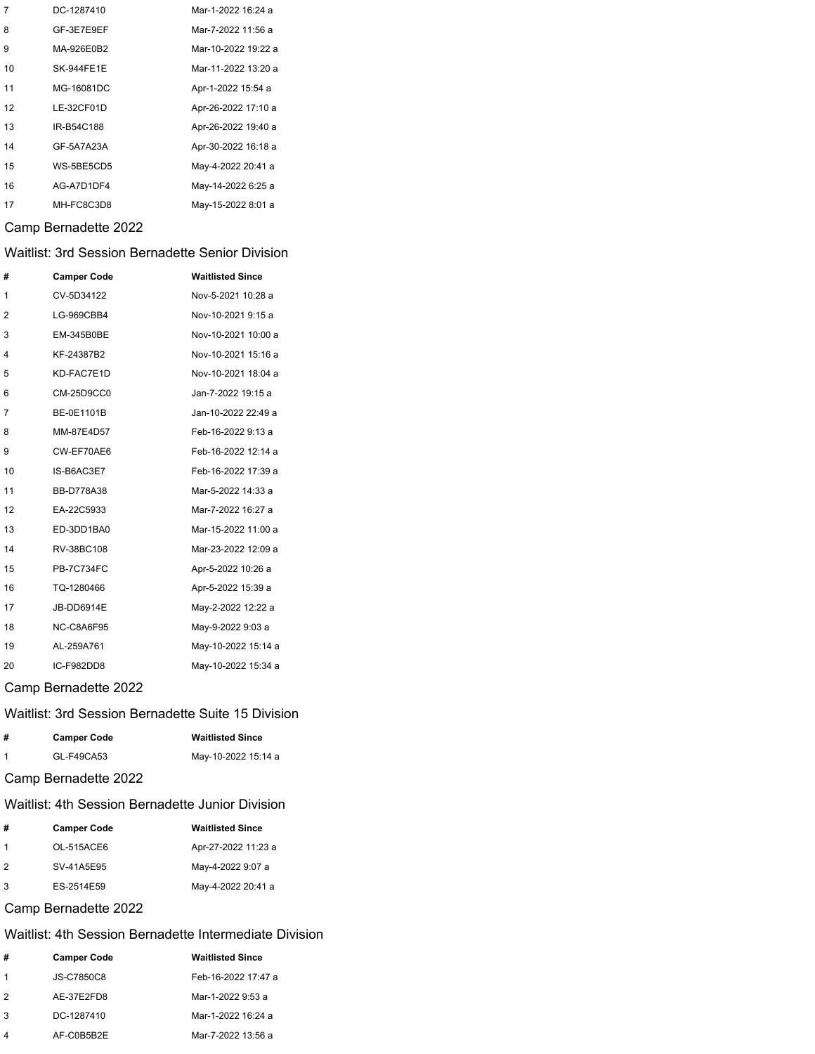| 7  | DC-1287410        | Mar-1-2022 16:24 a  |
|----|-------------------|---------------------|
| 8  | GF-3E7E9EF        | Mar-7-2022 11:56 a  |
| 9  | MA-926E0B2        | Mar-10-2022 19:22 a |
| 10 | <b>SK-944FE1E</b> | Mar-11-2022 13:20 a |
| 11 | MG-16081DC        | Apr-1-2022 15:54 a  |
| 12 | LE-32CF01D        | Apr-26-2022 17:10 a |
| 13 | IR-B54C188        | Apr-26-2022 19:40 a |
| 14 | GF-5A7A23A        | Apr-30-2022 16:18 a |
| 15 | WS-5BE5CD5        | May-4-2022 20:41 a  |
| 16 | AG-A7D1DF4        | May-14-2022 6:25 a  |
| 17 | MH-FC8C3D8        | May-15-2022 8:01 a  |

### Camp Bernadette 2022

# Waitlist: 3rd Session Bernadette Senior Division

| #              | <b>Camper Code</b> | <b>Waitlisted Since</b> |
|----------------|--------------------|-------------------------|
| 1              | CV-5D34122         | Nov-5-2021 10:28 a      |
| $\overline{2}$ | LG-969CBB4         | Nov-10-2021 9:15 a      |
| 3              | EM-345B0BE         | Nov-10-2021 10:00 a     |
| 4              | KF-24387B2         | Nov-10-2021 15:16 a     |
| 5              | KD-FAC7E1D         | Nov-10-2021 18:04 a     |
| 6              | CM-25D9CC0         | Jan-7-2022 19:15 a      |
| 7              | BE-0E1101B         | Jan-10-2022 22:49 a     |
| 8              | MM-87E4D57         | Feb-16-2022 9:13 a      |
| 9              | CW-EF70AE6         | Feb-16-2022 12:14 a     |
| 10             | IS-B6AC3E7         | Feb-16-2022 17:39 a     |
| 11             | <b>BB-D778A38</b>  | Mar-5-2022 14:33 a      |
| 12             | EA-22C5933         | Mar-7-2022 16:27 a      |
| 13             | ED-3DD1BA0         | Mar-15-2022 11:00 a     |
| 14             | RV-38BC108         | Mar-23-2022 12:09 a     |
| 15             | <b>PB-7C734FC</b>  | Apr-5-2022 10:26 a      |
| 16             | TQ-1280466         | Apr-5-2022 15:39 a      |
| 17             | JB-DD6914E         | May-2-2022 12:22 a      |
| 18             | NC-C8A6F95         | May-9-2022 9:03 a       |
| 19             | AL-259A761         | May-10-2022 15:14 a     |
| 20             | IC-F982DD8         | May-10-2022 15:34 a     |

#### Camp Bernadette 2022

#### Waitlist: 3rd Session Bernadette Suite 15 Division

| # | <b>Camper Code</b> | <b>Waitlisted Since</b> |
|---|--------------------|-------------------------|
|   | GL-F49CA53         | May-10-2022 15:14 a     |

### Camp Bernadette 2022

### Waitlist: 4th Session Bernadette Junior Division

| #   | <b>Camper Code</b> | <b>Waitlisted Since</b> |
|-----|--------------------|-------------------------|
| -1  | OL-515ACE6         | Apr-27-2022 11:23 a     |
| 12  | SV-41A5E95         | May-4-2022 9:07 a       |
| . 3 | ES-2514E59         | May-4-2022 20:41 a      |

## Camp Bernadette 2022

#### Waitlist: 4th Session Bernadette Intermediate Division

| #             | <b>Camper Code</b> | <b>Waitlisted Since</b> |
|---------------|--------------------|-------------------------|
| 1             | JS-C7850C8         | Feb-16-2022 17:47 a     |
| $\mathcal{P}$ | AE-37E2FD8         | Mar-1-2022 9:53 a       |
| 3             | DC-1287410         | Mar-1-2022 16:24 a      |
|               | AF-C0B5B2E         | Mar-7-2022 13:56 a      |